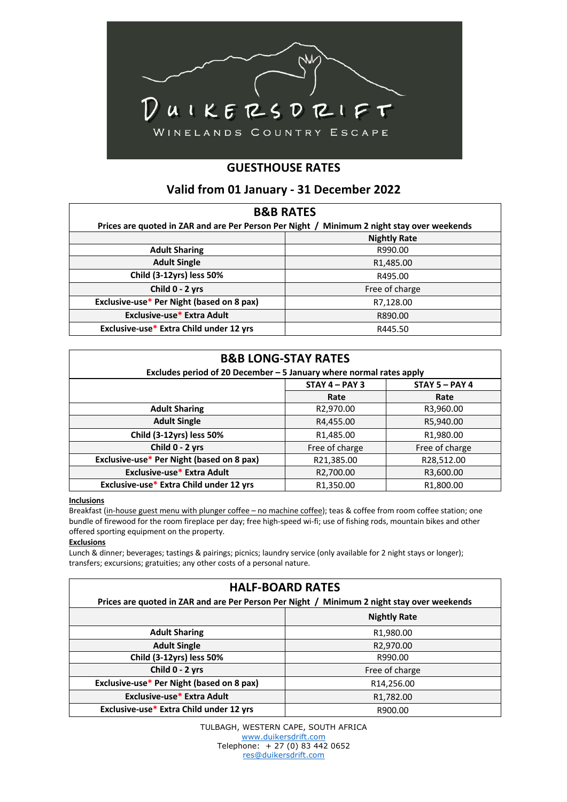

# **GUESTHOUSE RATES**

## **Valid from 01 January - 31 December 2022**

| <b>B&amp;B RATES</b>                                                                       |                        |  |  |
|--------------------------------------------------------------------------------------------|------------------------|--|--|
| Prices are quoted in ZAR and are Per Person Per Night / Minimum 2 night stay over weekends |                        |  |  |
|                                                                                            | <b>Nightly Rate</b>    |  |  |
| <b>Adult Sharing</b>                                                                       | R990.00                |  |  |
| <b>Adult Single</b>                                                                        | R <sub>1</sub> ,485.00 |  |  |
| Child (3-12yrs) less 50%                                                                   | R495.00                |  |  |
| Child 0 - 2 yrs                                                                            | Free of charge         |  |  |
| Exclusive-use* Per Night (based on 8 pax)                                                  | R7,128.00              |  |  |
| Exclusive-use* Extra Adult                                                                 | R890.00                |  |  |
| Exclusive-use* Extra Child under 12 yrs                                                    | R445.50                |  |  |

| <b>B&amp;B LONG-STAY RATES</b><br>Excludes period of 20 December $-5$ January where normal rates apply |                        |                        |  |
|--------------------------------------------------------------------------------------------------------|------------------------|------------------------|--|
|                                                                                                        | $STAY 4 - PAY 3$       | $STAY 5 - PAY 4$       |  |
|                                                                                                        | Rate                   | Rate                   |  |
| <b>Adult Sharing</b>                                                                                   | R2,970.00              | R3,960.00              |  |
| <b>Adult Single</b>                                                                                    | R4,455.00              | R5,940.00              |  |
| Child (3-12yrs) less 50%                                                                               | R <sub>1</sub> ,485.00 | R <sub>1,980</sub> .00 |  |
| Child 0 - 2 yrs                                                                                        | Free of charge         | Free of charge         |  |
| Exclusive-use* Per Night (based on 8 pax)                                                              | R21,385.00             | R28,512.00             |  |
| Exclusive-use* Extra Adult                                                                             | R2,700.00              | R3,600.00              |  |
| Exclusive-use* Extra Child under 12 yrs                                                                | R1.350.00              | R <sub>1.800.00</sub>  |  |

### **Inclusions**

Breakfast (in-house guest menu with plunger coffee – no machine coffee); teas & coffee from room coffee station; one bundle of firewood for the room fireplace per day; free high-speed wi-fi; use of fishing rods, mountain bikes and other offered sporting equipment on the property.

#### **Exclusions**

Lunch & dinner; beverages; tastings & pairings; picnics; laundry service (only available for 2 night stays or longer); transfers; excursions; gratuities; any other costs of a personal nature.

| <b>HALF-BOARD RATES</b>                                                                    |                        |  |  |
|--------------------------------------------------------------------------------------------|------------------------|--|--|
| Prices are quoted in ZAR and are Per Person Per Night / Minimum 2 night stay over weekends |                        |  |  |
|                                                                                            | <b>Nightly Rate</b>    |  |  |
| <b>Adult Sharing</b>                                                                       | R1,980.00              |  |  |
| <b>Adult Single</b>                                                                        | R2,970.00              |  |  |
| Child (3-12yrs) less 50%                                                                   | R990.00                |  |  |
| Child 0 - 2 yrs                                                                            | Free of charge         |  |  |
| Exclusive-use* Per Night (based on 8 pax)                                                  | R14,256.00             |  |  |
| Exclusive-use* Extra Adult                                                                 | R <sub>1</sub> ,782.00 |  |  |
| Exclusive-use* Extra Child under 12 yrs                                                    | R900.00                |  |  |

TULBAGH, WESTERN CAPE, SOUTH AFRICA www.duikersdrift.com Telephone: + 27 (0) 83 442 0652 res@duikersdrift.com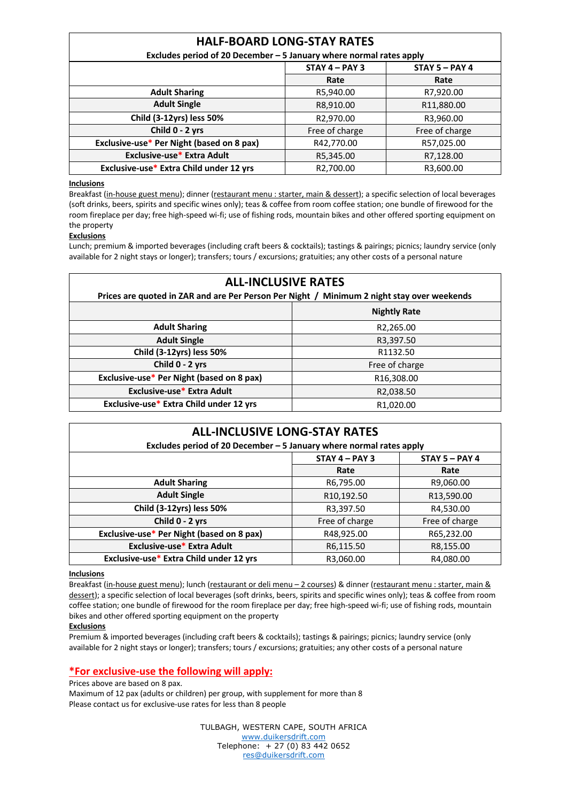# **HALF-BOARD LONG-STAY RATES**

|  | Excludes period of 20 December - 5 January where normal rates apply |
|--|---------------------------------------------------------------------|
|--|---------------------------------------------------------------------|

|                                           | $STAY 4 - PAY 3$ | $STAY 5 - PAY 4$ |
|-------------------------------------------|------------------|------------------|
|                                           | Rate             | Rate             |
| <b>Adult Sharing</b>                      | R5,940.00        | R7,920.00        |
| <b>Adult Single</b>                       | R8,910.00        | R11,880.00       |
| Child (3-12yrs) less 50%                  | R2,970.00        | R3,960.00        |
| Child 0 - 2 yrs                           | Free of charge   | Free of charge   |
| Exclusive-use* Per Night (based on 8 pax) | R42,770.00       | R57,025.00       |
| Exclusive-use* Extra Adult                | R5,345.00        | R7,128.00        |
| Exclusive-use* Extra Child under 12 yrs   | R2,700.00        | R3,600.00        |

#### **Inclusions**

Breakfast (in-house guest menu); dinner (restaurant menu : starter, main & dessert); a specific selection of local beverages (soft drinks, beers, spirits and specific wines only); teas & coffee from room coffee station; one bundle of firewood for the room fireplace per day; free high-speed wi-fi; use of fishing rods, mountain bikes and other offered sporting equipment on the property

### **Exclusions**

Lunch; premium & imported beverages (including craft beers & cocktails); tastings & pairings; picnics; laundry service (only available for 2 night stays or longer); transfers; tours / excursions; gratuities; any other costs of a personal nature

| <b>ALL-INCLUSIVE RATES</b><br>Prices are quoted in ZAR and are Per Person Per Night / Minimum 2 night stay over weekends |                        |  |  |
|--------------------------------------------------------------------------------------------------------------------------|------------------------|--|--|
|                                                                                                                          | <b>Nightly Rate</b>    |  |  |
| <b>Adult Sharing</b>                                                                                                     | R2,265.00              |  |  |
| <b>Adult Single</b>                                                                                                      | R3,397.50              |  |  |
| Child (3-12yrs) less 50%                                                                                                 | R1132.50               |  |  |
| Child 0 - 2 yrs                                                                                                          | Free of charge         |  |  |
| Exclusive-use* Per Night (based on 8 pax)                                                                                | R16,308.00             |  |  |
| Exclusive-use* Extra Adult                                                                                               | R2,038.50              |  |  |
| Exclusive-use* Extra Child under 12 yrs                                                                                  | R <sub>1</sub> ,020.00 |  |  |

| <b>ALL-INCLUSIVE LONG-STAY RATES</b><br>Excludes period of 20 December - 5 January where normal rates apply |                  |                  |  |
|-------------------------------------------------------------------------------------------------------------|------------------|------------------|--|
|                                                                                                             | $STAY 4 - PAY 3$ | $STAY 5 - PAY 4$ |  |
|                                                                                                             | Rate             | Rate             |  |
| <b>Adult Sharing</b>                                                                                        | R6,795.00        | R9,060.00        |  |
| <b>Adult Single</b>                                                                                         | R10,192.50       | R13,590.00       |  |
| Child (3-12yrs) less 50%                                                                                    | R3,397.50        | R4,530.00        |  |
| Child 0 - 2 yrs                                                                                             | Free of charge   | Free of charge   |  |
| Exclusive-use* Per Night (based on 8 pax)                                                                   | R48,925.00       | R65,232.00       |  |
| Exclusive-use* Extra Adult                                                                                  | R6,115.50        | R8,155.00        |  |
| Exclusive-use* Extra Child under 12 yrs                                                                     | R3,060.00        | R4,080.00        |  |

### **Inclusions**

Breakfast (in-house guest menu); lunch (restaurant or deli menu - 2 courses) & dinner (restaurant menu : starter, main & dessert); a specific selection of local beverages (soft drinks, beers, spirits and specific wines only); teas & coffee from room coffee station; one bundle of firewood for the room fireplace per day; free high-speed wi-fi; use of fishing rods, mountain bikes and other offered sporting equipment on the property

### **Exclusions**

Premium & imported beverages (including craft beers & cocktails); tastings & pairings; picnics; laundry service (only available for 2 night stays or longer); transfers; tours / excursions; gratuities; any other costs of a personal nature

## **\*For exclusive-use the following will apply:**

#### Prices above are based on 8 pax.

Maximum of 12 pax (adults or children) per group, with supplement for more than 8 Please contact us for exclusive-use rates for less than 8 people

> TULBAGH, WESTERN CAPE, SOUTH AFRICA www.duikersdrift.com Telephone: + 27 (0) 83 442 0652 res@duikersdrift.com